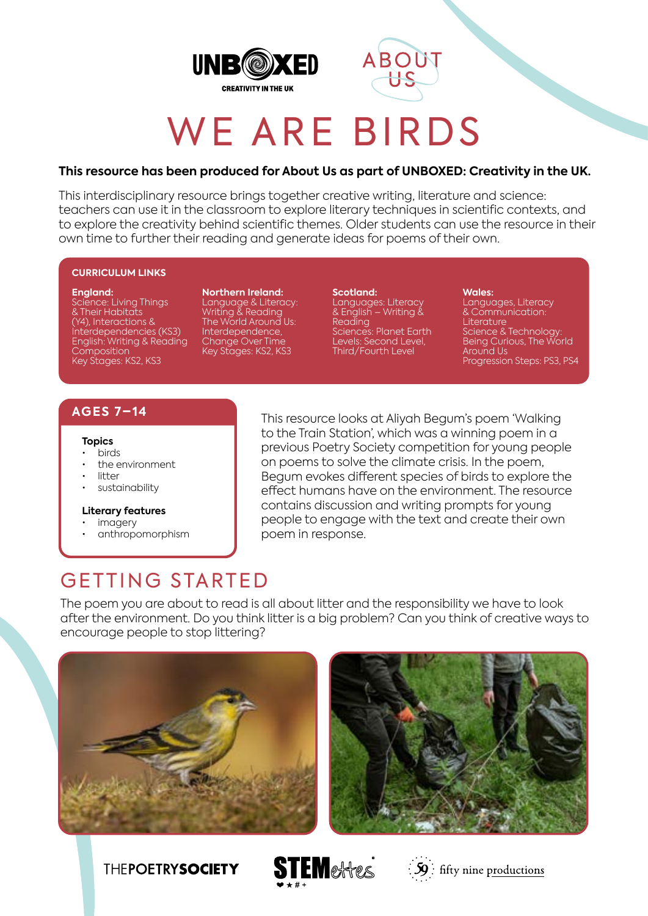



# WE ARE BIRDS

## **This resource has been produced for About Us as part of UNBOXED: Creativity in the UK.**

This interdisciplinary resource brings together creative writing, literature and science: teachers can use it in the classroom to explore literary techniques in scientific contexts, and to explore the creativity behind scientific themes. Older students can use the resource in their own time to further their reading and generate ideas for poems of their own.

### **CURRICULUM LINKS**

#### **England:**

Science: Living Things & Their Habitats (Y4), Interactions & Interdependencies (KS3) English: Writing & Reading **Composition** Key Stages: KS2, KS3

**Northern Ireland:** Language & Literacy: Writing & Reading The World Around Us: Interdependence, Change Over Time Key Stages: KS2, KS3

**Scotland:** Languages: Literacy & English – Writing & Reading Sciences: Planet Earth Levels: Second Level, Third/Fourth Level

**Wales:** Languages, Literacy & Communication: **Literature** Science & Technology:

Being Curious, The World Around Us Progression Steps: PS3, PS4

## **AGES 7–14**

#### **Topics**

- birds
- the environment
- litter
- sustainability

#### **Literary features**

- imagery
- anthropomorphism

This resource looks at Aliyah Begum's poem 'Walking to the Train Station', which was a winning poem in a previous Poetry Society competition for young people on poems to solve the climate crisis. In the poem, Begum evokes different species of birds to explore the effect humans have on the environment. The resource contains discussion and writing prompts for young people to engage with the text and create their own poem in response.

# GETTING STARTED

The poem you are about to read is all about litter and the responsibility we have to look after the environment. Do you think litter is a big problem? Can you think of creative ways to encourage people to stop littering?











 $\frac{1}{2}\mathbf{S}$  : fifty nine productions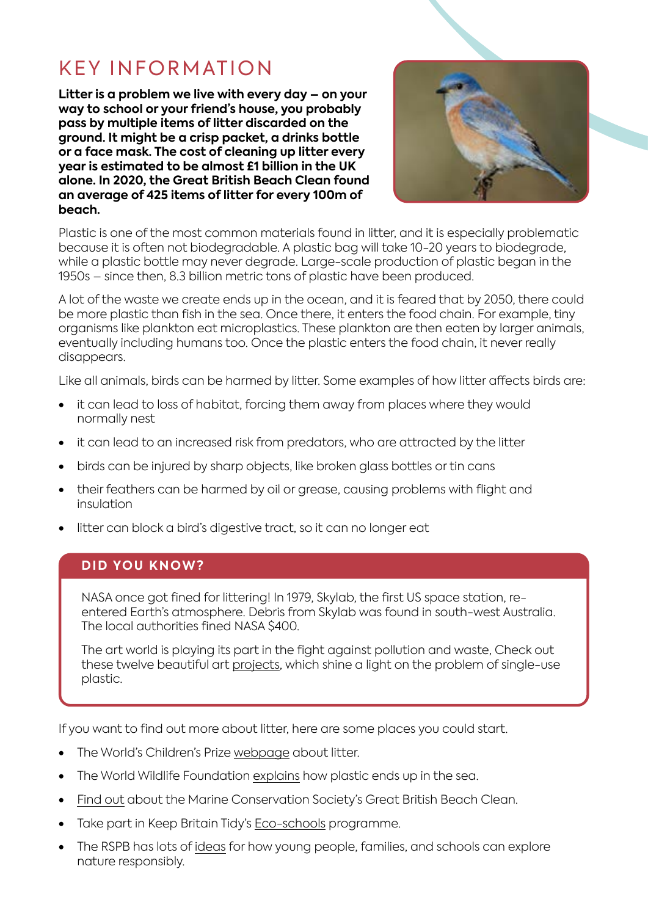# KEY INFORMATION

**Litter is a problem we live with every day – on your way to school or your friend's house, you probably pass by multiple items of litter discarded on the ground. It might be a crisp packet, a drinks bottle or a face mask. The cost of cleaning up litter every year is estimated to be almost £1 billion in the UK alone. In 2020, the Great British Beach Clean found an average of 425 items of litter for every 100m of beach.** 



Plastic is one of the most common materials found in litter, and it is especially problematic because it is often not biodegradable. A plastic bag will take 10-20 years to biodegrade, while a plastic bottle may never degrade. Large-scale production of plastic began in the 1950s – since then, 8.3 billion metric tons of plastic have been produced.

A lot of the waste we create ends up in the ocean, and it is feared that by 2050, there could be more plastic than fish in the sea. Once there, it enters the food chain. For example, tiny organisms like plankton eat microplastics. These plankton are then eaten by larger animals, eventually including humans too. Once the plastic enters the food chain, it never really disappears.

Like all animals, birds can be harmed by litter. Some examples of how litter affects birds are:

- it can lead to loss of habitat, forcing them away from places where they would normally nest
- it can lead to an increased risk from predators, who are attracted by the litter
- birds can be injured by sharp objects, like broken glass bottles or tin cans
- their feathers can be harmed by oil or grease, causing problems with flight and insulation
- litter can block a bird's digestive tract, so it can no longer eat

## **DID YOU KNOW?**

NASA once got fined for littering! In 1979, Skylab, the first US space station, reentered Earth's atmosphere. Debris from Skylab was found in south-west Australia. The local authorities fined NASA \$400.

The art world is playing its part in the fight against pollution and waste, Check out these twelve beautiful art [projects](https://www.plasticpollutioncoalition.org/blog/2017/5/2/10-inspiring-works-of-art-about-plastic-pollution), which shine a light on the problem of single-use plastic.

If you want to find out more about litter, here are some places you could start.

- The World's Children's Prize [webpage](https://worldschildrensprize.org/litterfacts) about litter.
- The World Wildlife Foundation [explains](https://www.wwf.org.uk/updates/how-does-plastic-end-ocean) how plastic ends up in the sea.
- [Find out](https://www.mcsuk.org/what-you-can-do/join-a-beach-clean/the-great-british-beach-clean/) about the Marine Conservation Society's Great British Beach Clean.
- Take part in Keep Britain Tidy's [Eco-schools](https://www.eco-schools.org.uk/) programme.
- The RSPB has lots of [ideas](https://www.rspb.org.uk/fun-and-learning/) for how young people, families, and schools can explore nature responsibly.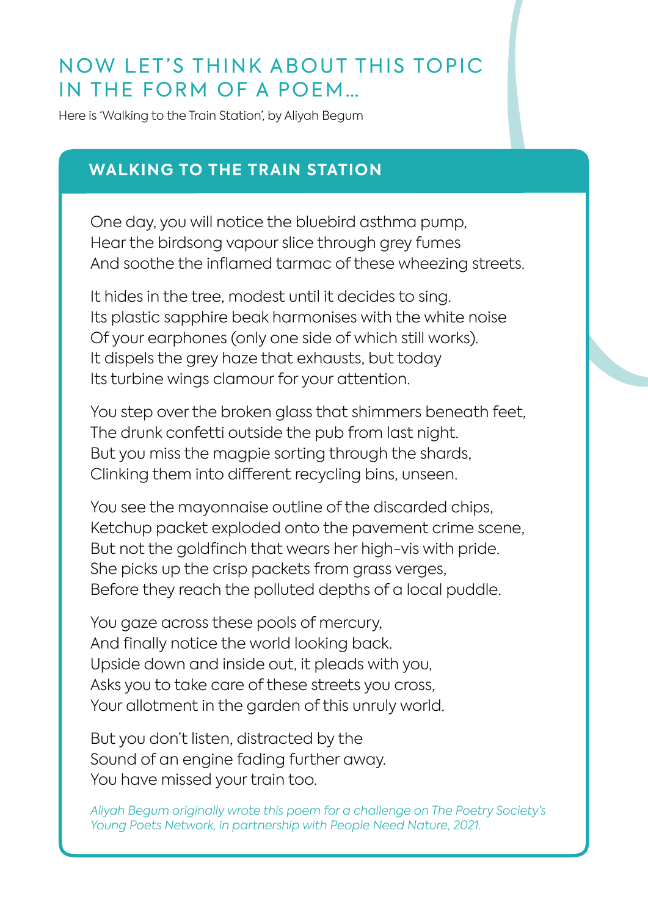# NOW LET'S THINK ABOUT THIS TOPIC IN THE FORM OF A POEM…

Here is 'Walking to the Train Station', by Aliyah Begum

# **WALKING TO THE TRAIN STATION**

One day, you will notice the bluebird asthma pump, Hear the birdsong vapour slice through grey fumes And soothe the inflamed tarmac of these wheezing streets.

It hides in the tree, modest until it decides to sing. Its plastic sapphire beak harmonises with the white noise Of your earphones (only one side of which still works). It dispels the grey haze that exhausts, but today Its turbine wings clamour for your attention.

You step over the broken glass that shimmers beneath feet, The drunk confetti outside the pub from last night. But you miss the magpie sorting through the shards, Clinking them into different recycling bins, unseen.

You see the mayonnaise outline of the discarded chips, Ketchup packet exploded onto the pavement crime scene, But not the goldfinch that wears her high-vis with pride. She picks up the crisp packets from grass verges, Before they reach the polluted depths of a local puddle.

You gaze across these pools of mercury, And finally notice the world looking back. Upside down and inside out, it pleads with you, Asks you to take care of these streets you cross, Your allotment in the garden of this unruly world.

But you don't listen, distracted by the Sound of an engine fading further away. You have missed your train too.

*Aliyah Begum originally wrote this poem for a challenge on The Poetry Society's Young Poets Network, in partnership with People Need Nature, 2021.*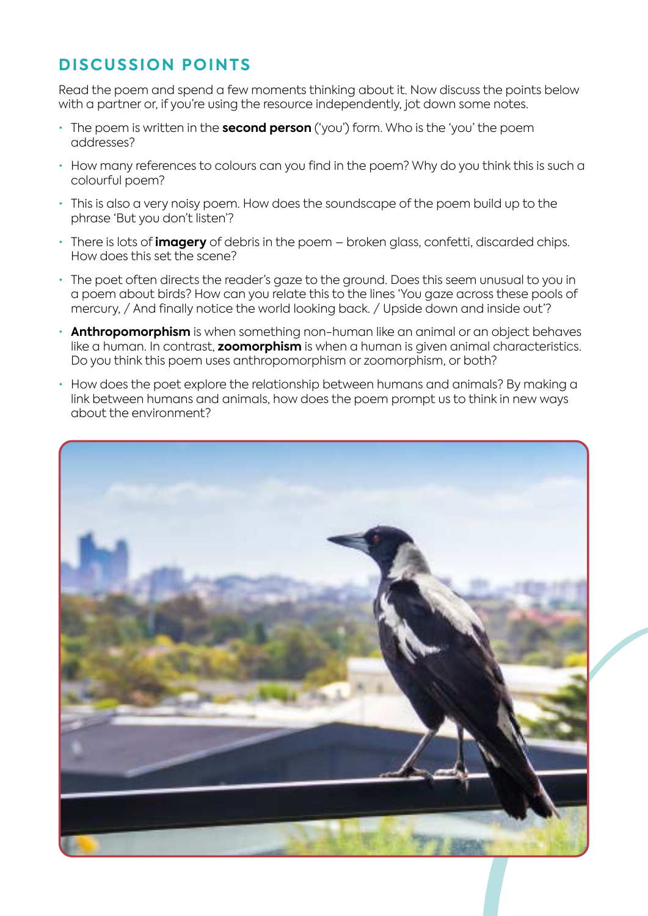# **DISCUSSION POINTS**

Read the poem and spend a few moments thinking about it. Now discuss the points below with a partner or, if you're using the resource independently, jot down some notes.

- The poem is written in the **second person** ('you') form. Who is the 'you' the poem addresses?
- How many references to colours can you find in the poem? Why do you think this is such a colourful poem?
- This is also a very noisy poem. How does the soundscape of the poem build up to the phrase 'But you don't listen'?
- There is lots of **imagery** of debris in the poem broken glass, confetti, discarded chips. How does this set the scene?
- The poet often directs the reader's gaze to the ground. Does this seem unusual to you in a poem about birds? How can you relate this to the lines 'You gaze across these pools of mercury, / And finally notice the world looking back. / Upside down and inside out'?
- **Anthropomorphism** is when something non-human like an animal or an object behaves like a human. In contrast, **zoomorphism** is when a human is given animal characteristics. Do you think this poem uses anthropomorphism or zoomorphism, or both?
- How does the poet explore the relationship between humans and animals? By making a link between humans and animals, how does the poem prompt us to think in new ways about the environment?